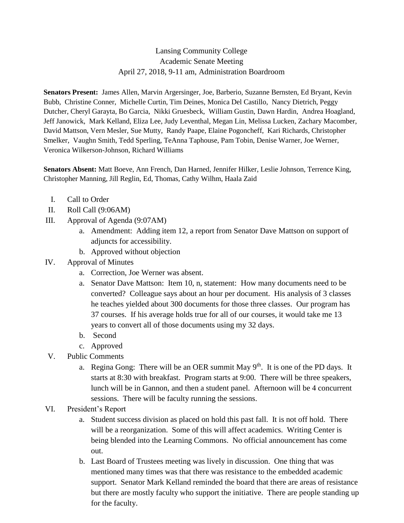## Lansing Community College Academic Senate Meeting April 27, 2018, 9-11 am, Administration Boardroom

**Senators Present:** James Allen, Marvin Argersinger, Joe, Barberio, Suzanne Bernsten, Ed Bryant, Kevin Bubb, Christine Conner, Michelle Curtin, Tim Deines, Monica Del Castillo, Nancy Dietrich, Peggy Dutcher, Cheryl Garayta, Bo Garcia, Nikki Gruesbeck, William Gustin, Dawn Hardin, Andrea Hoagland, Jeff Janowick, Mark Kelland, Eliza Lee, Judy Leventhal, Megan Lin, Melissa Lucken, Zachary Macomber, David Mattson, Vern Mesler, Sue Mutty, Randy Paape, Elaine Pogoncheff, Kari Richards, Christopher Smelker, Vaughn Smith, Tedd Sperling, TeAnna Taphouse, Pam Tobin, Denise Warner, Joe Werner, Veronica Wilkerson-Johnson, Richard Williams

**Senators Absent:** Matt Boeve, Ann French, Dan Harned, Jennifer Hilker, Leslie Johnson, Terrence King, Christopher Manning, Jill Reglin, Ed, Thomas, Cathy Wilhm, Haala Zaid

- I. Call to Order
- II. Roll Call (9:06AM)
- III. Approval of Agenda (9:07AM)
	- a. Amendment: Adding item 12, a report from Senator Dave Mattson on support of adjuncts for accessibility.
	- b. Approved without objection
- IV. Approval of Minutes
	- a. Correction, Joe Werner was absent.
	- a. Senator Dave Mattson: Item 10, n, statement: How many documents need to be converted? Colleague says about an hour per document. His analysis of 3 classes he teaches yielded about 300 documents for those three classes. Our program has 37 courses. If his average holds true for all of our courses, it would take me 13 years to convert all of those documents using my 32 days.
	- b. Second
	- c. Approved
- V. Public Comments
	- a. Regina Gong: There will be an OER summit May  $9<sup>th</sup>$ . It is one of the PD days. It starts at 8:30 with breakfast. Program starts at 9:00. There will be three speakers, lunch will be in Gannon, and then a student panel. Afternoon will be 4 concurrent sessions. There will be faculty running the sessions.
- VI. President's Report
	- a. Student success division as placed on hold this past fall. It is not off hold. There will be a reorganization. Some of this will affect academics. Writing Center is being blended into the Learning Commons. No official announcement has come out.
	- b. Last Board of Trustees meeting was lively in discussion. One thing that was mentioned many times was that there was resistance to the embedded academic support. Senator Mark Kelland reminded the board that there are areas of resistance but there are mostly faculty who support the initiative. There are people standing up for the faculty.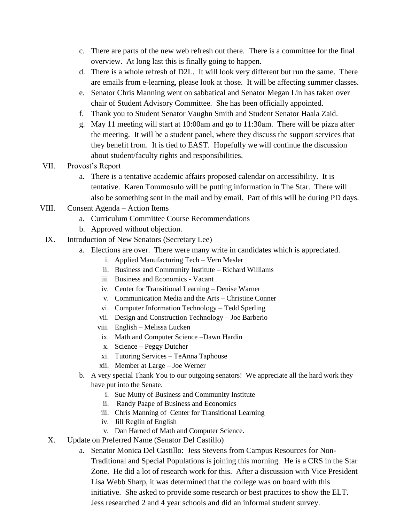- c. There are parts of the new web refresh out there. There is a committee for the final overview. At long last this is finally going to happen.
- d. There is a whole refresh of D2L. It will look very different but run the same. There are emails from e-learning, please look at those. It will be affecting summer classes.
- e. Senator Chris Manning went on sabbatical and Senator Megan Lin has taken over chair of Student Advisory Committee. She has been officially appointed.
- f. Thank you to Student Senator Vaughn Smith and Student Senator Haala Zaid.
- g. May 11 meeting will start at 10:00am and go to 11:30am. There will be pizza after the meeting. It will be a student panel, where they discuss the support services that they benefit from. It is tied to EAST. Hopefully we will continue the discussion about student/faculty rights and responsibilities.
- VII. Provost's Report
	- a. There is a tentative academic affairs proposed calendar on accessibility. It is tentative. Karen Tommosulo will be putting information in The Star. There will also be something sent in the mail and by email. Part of this will be during PD days.
- VIII. Consent Agenda Action Items
	- a. Curriculum Committee Course Recommendations
	- b. Approved without objection.
	- IX. Introduction of New Senators (Secretary Lee)
		- a. Elections are over. There were many write in candidates which is appreciated.
			- i. Applied Manufacturing Tech Vern Mesler
			- ii. Business and Community Institute Richard Williams
			- iii. Business and Economics Vacant
			- iv. Center for Transitional Learning Denise Warner
			- v. Communication Media and the Arts Christine Conner
			- vi. Computer Information Technology Tedd Sperling
			- vii. Design and Construction Technology Joe Barberio
			- viii. English Melissa Lucken
			- ix. Math and Computer Science –Dawn Hardin
			- x. Science Peggy Dutcher
			- xi. Tutoring Services TeAnna Taphouse
			- xii. Member at Large Joe Werner
		- b. A very special Thank You to our outgoing senators! We appreciate all the hard work they have put into the Senate.
			- i. Sue Mutty of Business and Community Institute
			- ii. Randy Paape of Business and Economics
			- iii. Chris Manning of Center for Transitional Learning
			- iv. Jill Reglin of English
			- v. Dan Harned of Math and Computer Science.
	- X. Update on Preferred Name (Senator Del Castillo)
		- a. Senator Monica Del Castillo: Jess Stevens from Campus Resources for Non-Traditional and Special Populations is joining this morning. He is a CRS in the Star Zone. He did a lot of research work for this. After a discussion with Vice President Lisa Webb Sharp, it was determined that the college was on board with this initiative. She asked to provide some research or best practices to show the ELT. Jess researched 2 and 4 year schools and did an informal student survey.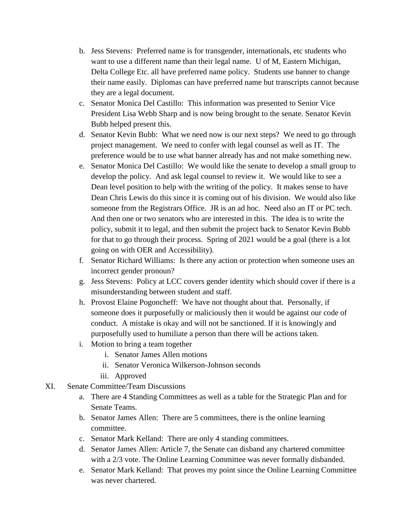- b. Jess Stevens: Preferred name is for transgender, internationals, etc students who want to use a different name than their legal name. U of M, Eastern Michigan, Delta College Etc. all have preferred name policy. Students use banner to change their name easily. Diplomas can have preferred name but transcripts cannot because they are a legal document.
- c. Senator Monica Del Castillo: This information was presented to Senior Vice President Lisa Webb Sharp and is now being brought to the senate. Senator Kevin Bubb helped present this.
- d. Senator Kevin Bubb: What we need now is our next steps? We need to go through project management. We need to confer with legal counsel as well as IT. The preference would be to use what banner already has and not make something new.
- e. Senator Monica Del Castillo: We would like the senate to develop a small group to develop the policy. And ask legal counsel to review it. We would like to see a Dean level position to help with the writing of the policy. It makes sense to have Dean Chris Lewis do this since it is coming out of his division. We would also like someone from the Registrars Office. JR is an ad hoc. Need also an IT or PC tech. And then one or two senators who are interested in this. The idea is to write the policy, submit it to legal, and then submit the project back to Senator Kevin Bubb for that to go through their process. Spring of 2021 would be a goal (there is a lot going on with OER and Accessibility).
- f. Senator Richard Williams: Is there any action or protection when someone uses an incorrect gender pronoun?
- g. Jess Stevens: Policy at LCC covers gender identity which should cover if there is a misunderstanding between student and staff.
- h. Provost Elaine Pogoncheff: We have not thought about that. Personally, if someone does it purposefully or maliciously then it would be against our code of conduct. A mistake is okay and will not be sanctioned. If it is knowingly and purposefully used to humiliate a person than there will be actions taken.
- i. Motion to bring a team together
	- i. Senator James Allen motions
	- ii. Senator Veronica Wilkerson-Johnson seconds
	- iii. Approved
- XI. Senate Committee/Team Discussions
	- a. There are 4 Standing Committees as well as a table for the Strategic Plan and for Senate Teams.
	- b. Senator James Allen: There are 5 committees, there is the online learning committee.
	- c. Senator Mark Kelland: There are only 4 standing committees.
	- d. Senator James Allen: Article 7, the Senate can disband any chartered committee with a 2/3 vote. The Online Learning Committee was never formally disbanded.
	- e. Senator Mark Kelland: That proves my point since the Online Learning Committee was never chartered.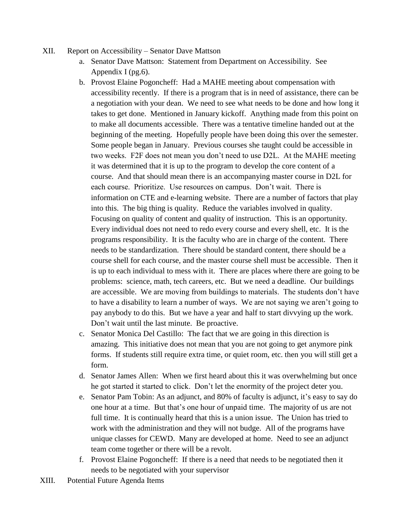- XII. Report on Accessibility Senator Dave Mattson
	- a. Senator Dave Mattson: Statement from Department on Accessibility. See Appendix I (pg.6).
	- b. Provost Elaine Pogoncheff: Had a MAHE meeting about compensation with accessibility recently. If there is a program that is in need of assistance, there can be a negotiation with your dean. We need to see what needs to be done and how long it takes to get done. Mentioned in January kickoff. Anything made from this point on to make all documents accessible. There was a tentative timeline handed out at the beginning of the meeting. Hopefully people have been doing this over the semester. Some people began in January. Previous courses she taught could be accessible in two weeks. F2F does not mean you don't need to use D2L. At the MAHE meeting it was determined that it is up to the program to develop the core content of a course. And that should mean there is an accompanying master course in D2L for each course. Prioritize. Use resources on campus. Don't wait. There is information on CTE and e-learning website. There are a number of factors that play into this. The big thing is quality. Reduce the variables involved in quality. Focusing on quality of content and quality of instruction. This is an opportunity. Every individual does not need to redo every course and every shell, etc. It is the programs responsibility. It is the faculty who are in charge of the content. There needs to be standardization. There should be standard content, there should be a course shell for each course, and the master course shell must be accessible. Then it is up to each individual to mess with it. There are places where there are going to be problems: science, math, tech careers, etc. But we need a deadline. Our buildings are accessible. We are moving from buildings to materials. The students don't have to have a disability to learn a number of ways. We are not saying we aren't going to pay anybody to do this. But we have a year and half to start divvying up the work. Don't wait until the last minute. Be proactive.
	- c. Senator Monica Del Castillo: The fact that we are going in this direction is amazing. This initiative does not mean that you are not going to get anymore pink forms. If students still require extra time, or quiet room, etc. then you will still get a form.
	- d. Senator James Allen: When we first heard about this it was overwhelming but once he got started it started to click. Don't let the enormity of the project deter you.
	- e. Senator Pam Tobin: As an adjunct, and 80% of faculty is adjunct, it's easy to say do one hour at a time. But that's one hour of unpaid time. The majority of us are not full time. It is continually heard that this is a union issue. The Union has tried to work with the administration and they will not budge. All of the programs have unique classes for CEWD. Many are developed at home. Need to see an adjunct team come together or there will be a revolt.
	- f. Provost Elaine Pogoncheff: If there is a need that needs to be negotiated then it needs to be negotiated with your supervisor
- XIII. Potential Future Agenda Items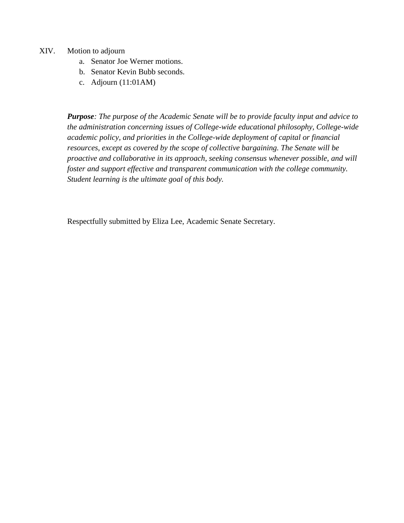- XIV. Motion to adjourn
	- a. Senator Joe Werner motions.
	- b. Senator Kevin Bubb seconds.
	- c. Adjourn (11:01AM)

*Purpose: The purpose of the Academic Senate will be to provide faculty input and advice to the administration concerning issues of College-wide educational philosophy, College-wide academic policy, and priorities in the College-wide deployment of capital or financial resources, except as covered by the scope of collective bargaining. The Senate will be proactive and collaborative in its approach, seeking consensus whenever possible, and will foster and support effective and transparent communication with the college community. Student learning is the ultimate goal of this body.*

Respectfully submitted by Eliza Lee, Academic Senate Secretary.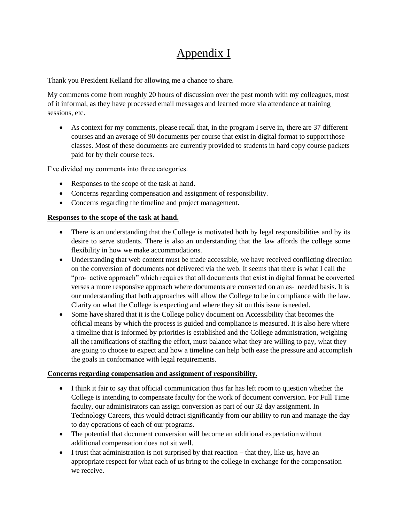# Appendix I

Thank you President Kelland for allowing me a chance to share.

My comments come from roughly 20 hours of discussion over the past month with my colleagues, most of it informal, as they have processed email messages and learned more via attendance at training sessions, etc.

 As context for my comments, please recall that, in the program I serve in, there are 37 different courses and an average of 90 documents per course that exist in digital format to supportthose classes. Most of these documents are currently provided to students in hard copy course packets paid for by their course fees.

I've divided my comments into three categories.

- Responses to the scope of the task at hand.
- Concerns regarding compensation and assignment of responsibility.
- Concerns regarding the timeline and project management.

#### **Responses to the scope of the task at hand.**

- There is an understanding that the College is motivated both by legal responsibilities and by its desire to serve students. There is also an understanding that the law affords the college some flexibility in how we make accommodations.
- Understanding that web content must be made accessible, we have received conflicting direction on the conversion of documents not delivered via the web. It seems that there is what I call the "pro‐ active approach" which requires that all documents that exist in digital format be converted verses a more responsive approach where documents are converted on an as- needed basis. It is our understanding that both approaches will allow the College to be in compliance with the law. Clarity on what the College is expecting and where they sit on this issue is needed.
- Some have shared that it is the College policy document on Accessibility that becomes the official means by which the process is guided and compliance is measured. It is also here where a timeline that is informed by priorities is established and the College administration, weighing all the ramifications of staffing the effort, must balance what they are willing to pay, what they are going to choose to expect and how a timeline can help both ease the pressure and accomplish the goals in conformance with legal requirements.

#### **Concerns regarding compensation and assignment of responsibility.**

- I think it fair to say that official communication thus far has left room to question whether the College is intending to compensate faculty for the work of document conversion. For Full Time faculty, our administrators can assign conversion as part of our 32 day assignment. In Technology Careers, this would detract significantly from our ability to run and manage the day to day operations of each of our programs.
- The potential that document conversion will become an additional expectation without additional compensation does not sit well.
- I trust that administration is not surprised by that reaction that they, like us, have an appropriate respect for what each of us bring to the college in exchange for the compensation we receive.